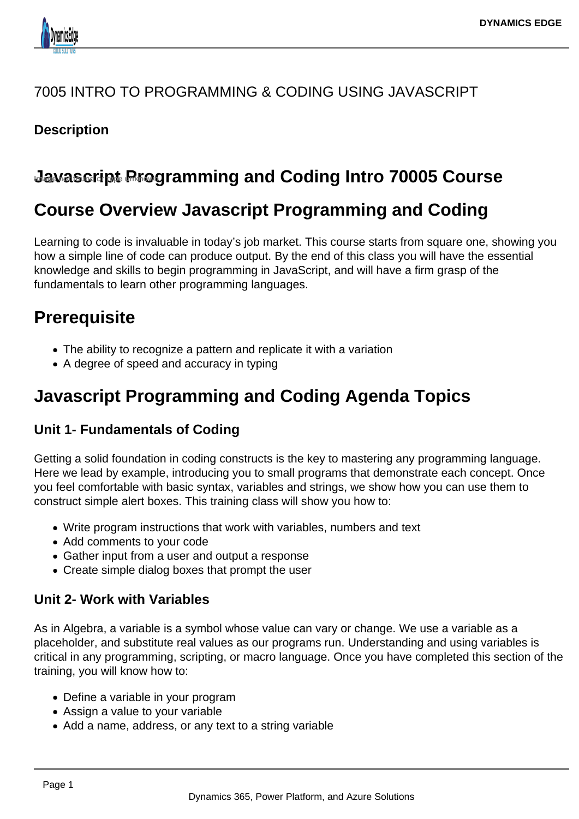

### 7005 INTRO TO PROGRAMMING & CODING USING JAVASCRIPT

### **Description**

## **Javascript Programming and Coding Intro 70005 Course**

# **Course Overview Javascript Programming and Coding**

Learning to code is invaluable in today's job market. This course starts from square one, showing you how a simple line of code can produce output. By the end of this class you will have the essential knowledge and skills to begin programming in JavaScript, and will have a firm grasp of the fundamentals to learn other programming languages.

# **Prerequisite**

- The ability to recognize a pattern and replicate it with a variation
- A degree of speed and accuracy in typing

# **Javascript Programming and Coding Agenda Topics**

### **Unit 1- Fundamentals of Coding**

Getting a solid foundation in coding constructs is the key to mastering any programming language. Here we lead by example, introducing you to small programs that demonstrate each concept. Once you feel comfortable with basic syntax, variables and strings, we show how you can use them to construct simple alert boxes. This training class will show you how to:

- Write program instructions that work with variables, numbers and text
- Add comments to your code
- Gather input from a user and output a response
- Create simple dialog boxes that prompt the user

#### **Unit 2- Work with Variables**

As in Algebra, a variable is a symbol whose value can vary or change. We use a variable as a placeholder, and substitute real values as our programs run. Understanding and using variables is critical in any programming, scripting, or macro language. Once you have completed this section of the training, you will know how to:

- Define a variable in your program
- Assign a value to your variable
- Add a name, address, or any text to a string variable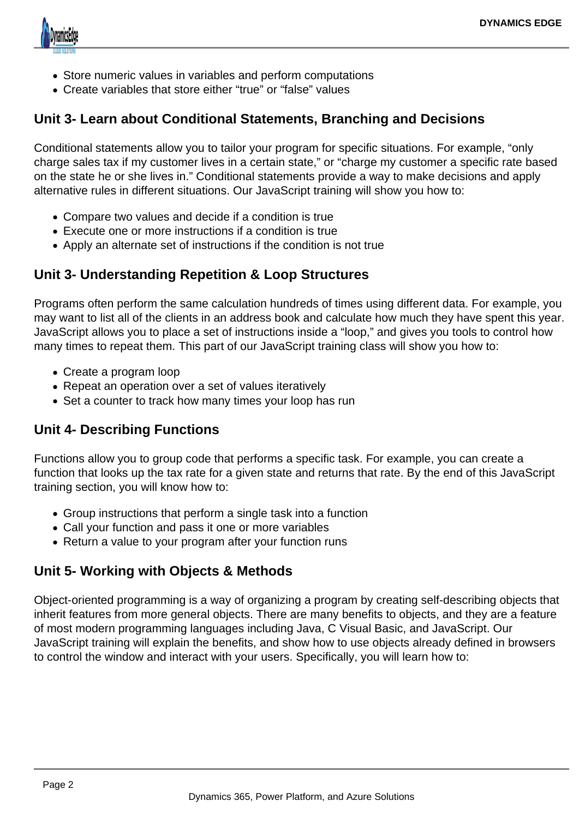

- Store numeric values in variables and perform computations
- Create variables that store either "true" or "false" values

#### **Unit 3- Learn about Conditional Statements, Branching and Decisions**

Conditional statements allow you to tailor your program for specific situations. For example, "only charge sales tax if my customer lives in a certain state," or "charge my customer a specific rate based on the state he or she lives in." Conditional statements provide a way to make decisions and apply alternative rules in different situations. Our JavaScript training will show you how to:

- Compare two values and decide if a condition is true
- Execute one or more instructions if a condition is true
- Apply an alternate set of instructions if the condition is not true

#### **Unit 3- Understanding Repetition & Loop Structures**

Programs often perform the same calculation hundreds of times using different data. For example, you may want to list all of the clients in an address book and calculate how much they have spent this year. JavaScript allows you to place a set of instructions inside a "loop," and gives you tools to control how many times to repeat them. This part of our JavaScript training class will show you how to:

- Create a program loop
- Repeat an operation over a set of values iteratively
- Set a counter to track how many times your loop has run

### **Unit 4- Describing Functions**

Functions allow you to group code that performs a specific task. For example, you can create a function that looks up the tax rate for a given state and returns that rate. By the end of this JavaScript training section, you will know how to:

- Group instructions that perform a single task into a function
- Call your function and pass it one or more variables
- Return a value to your program after your function runs

### **Unit 5- Working with Objects & Methods**

Object-oriented programming is a way of organizing a program by creating self-describing objects that inherit features from more general objects. There are many benefits to objects, and they are a feature of most modern programming languages including Java, C Visual Basic, and JavaScript. Our JavaScript training will explain the benefits, and show how to use objects already defined in browsers to control the window and interact with your users. Specifically, you will learn how to: